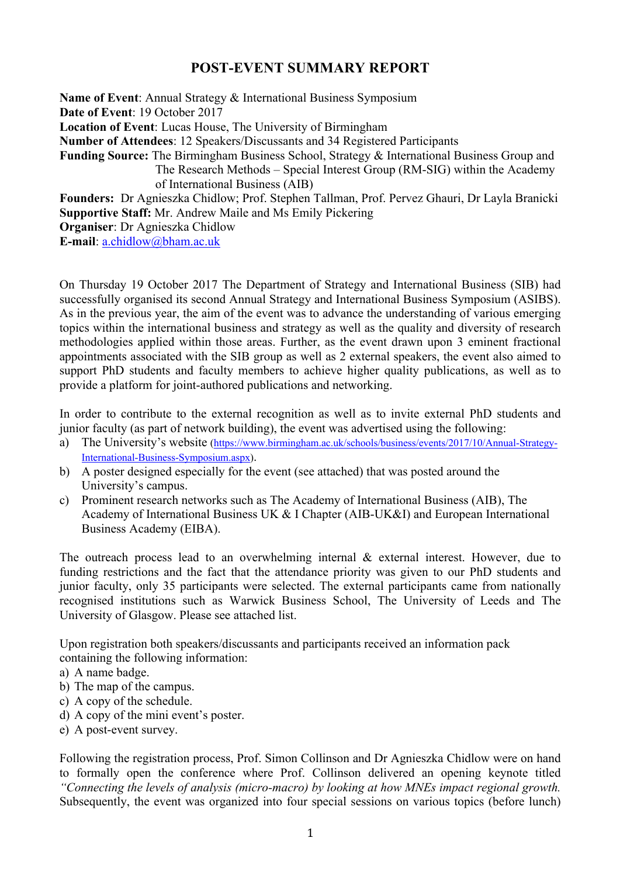## **POST-EVENT SUMMARY REPORT**

**Name of Event**: Annual Strategy & International Business Symposium **Date of Event**: 19 October 2017 **Location of Event**: Lucas House, The University of Birmingham **Number of Attendees**: 12 Speakers/Discussants and 34 Registered Participants **Funding Source:** The Birmingham Business School, Strategy & International Business Group and The Research Methods – Special Interest Group (RM-SIG) within the Academy of International Business (AIB) **Founders:** Dr Agnieszka Chidlow; Prof. Stephen Tallman, Prof. Pervez Ghauri, Dr Layla Branicki **Supportive Staff:** Mr. Andrew Maile and Ms Emily Pickering

**Organiser**: Dr Agnieszka Chidlow

**E-mail**: a.chidlow@bham.ac.uk

On Thursday 19 October 2017 The Department of Strategy and International Business (SIB) had successfully organised its second Annual Strategy and International Business Symposium (ASIBS). As in the previous year, the aim of the event was to advance the understanding of various emerging topics within the international business and strategy as well as the quality and diversity of research methodologies applied within those areas. Further, as the event drawn upon 3 eminent fractional appointments associated with the SIB group as well as 2 external speakers, the event also aimed to support PhD students and faculty members to achieve higher quality publications, as well as to provide a platform for joint-authored publications and networking.

In order to contribute to the external recognition as well as to invite external PhD students and junior faculty (as part of network building), the event was advertised using the following:

- a) The University's website (https://www.birmingham.ac.uk/schools/business/events/2017/10/Annual-Strategy-International-Business-Symposium.aspx).
- b) A poster designed especially for the event (see attached) that was posted around the University's campus.
- c) Prominent research networks such as The Academy of International Business (AIB), The Academy of International Business UK & I Chapter (AIB-UK&I) and European International Business Academy (EIBA).

The outreach process lead to an overwhelming internal & external interest. However, due to funding restrictions and the fact that the attendance priority was given to our PhD students and junior faculty, only 35 participants were selected. The external participants came from nationally recognised institutions such as Warwick Business School, The University of Leeds and The University of Glasgow. Please see attached list.

Upon registration both speakers/discussants and participants received an information pack containing the following information:

- a) A name badge.
- b) The map of the campus.
- c) A copy of the schedule.
- d) A copy of the mini event's poster.
- e) A post-event survey.

Following the registration process, Prof. Simon Collinson and Dr Agnieszka Chidlow were on hand to formally open the conference where Prof. Collinson delivered an opening keynote titled *"Connecting the levels of analysis (micro-macro) by looking at how MNEs impact regional growth.*  Subsequently, the event was organized into four special sessions on various topics (before lunch)